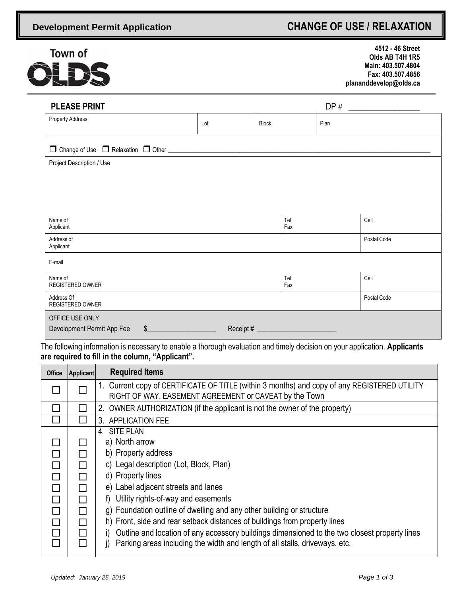## **Development Permit Application CHANGE OF USE / RELAXATION**



 **4512 - 46 Street Olds AB T4H 1R5 Main: 403.507.4804 Fax: 403.507.4856 plananddevelop@olds.ca**

| <b>PLEASE PRINT</b>                             |     |              | DP#  |             |
|-------------------------------------------------|-----|--------------|------|-------------|
| <b>Property Address</b>                         | Lot | <b>Block</b> | Plan |             |
| □ Change of Use □ Relaxation □ Other __________ |     |              |      |             |
| Project Description / Use                       |     |              |      |             |
|                                                 |     |              |      |             |
|                                                 |     |              |      |             |
|                                                 |     |              |      |             |
| Name of<br>Applicant                            |     | Tel<br>Fax   |      | Cell        |
| Address of<br>Applicant                         |     |              |      | Postal Code |
| E-mail                                          |     |              |      |             |
| Name of<br><b>REGISTERED OWNER</b>              |     | Tel<br>Fax   |      | Cell        |
| Address Of<br><b>REGISTERED OWNER</b>           |     |              |      | Postal Code |
| OFFICE USE ONLY                                 |     |              |      |             |
| Development Permit App Fee<br>$\frac{1}{2}$     |     |              |      |             |

The following information is necessary to enable a thorough evaluation and timely decision on your application. **Applicants are required to fill in the column, "Applicant".**

| <b>Office</b> | Applicant                  | <b>Required Items</b>                                                                                                                                  |  |  |  |
|---------------|----------------------------|--------------------------------------------------------------------------------------------------------------------------------------------------------|--|--|--|
|               |                            | 1. Current copy of CERTIFICATE OF TITLE (within 3 months) and copy of any REGISTERED UTILITY<br>RIGHT OF WAY, EASEMENT AGREEMENT or CAVEAT by the Town |  |  |  |
|               |                            | 2. OWNER AUTHORIZATION (if the applicant is not the owner of the property)                                                                             |  |  |  |
|               |                            | 3. APPLICATION FEE                                                                                                                                     |  |  |  |
|               |                            | 4. SITE PLAN                                                                                                                                           |  |  |  |
|               |                            | a) North arrow                                                                                                                                         |  |  |  |
| $\Box$        |                            | b) Property address                                                                                                                                    |  |  |  |
| П             | $\mathbf{I}$               | c) Legal description (Lot, Block, Plan)                                                                                                                |  |  |  |
| $\Box$        | $\mathsf{L}$               | d) Property lines                                                                                                                                      |  |  |  |
| $\Box$        | $\Box$                     | e) Label adjacent streets and lanes                                                                                                                    |  |  |  |
| $\Box$        | l 1                        | f) Utility rights-of-way and easements                                                                                                                 |  |  |  |
| $\Box$        | $\Box$                     | g) Foundation outline of dwelling and any other building or structure                                                                                  |  |  |  |
| $\Box$        | $\mathbb{R}^n$             | h) Front, side and rear setback distances of buildings from property lines                                                                             |  |  |  |
| $\Box$        | $\mathcal{L}^{\text{max}}$ | Outline and location of any accessory buildings dimensioned to the two closest property lines<br>i).                                                   |  |  |  |
| П             |                            | Parking areas including the width and length of all stalls, driveways, etc.                                                                            |  |  |  |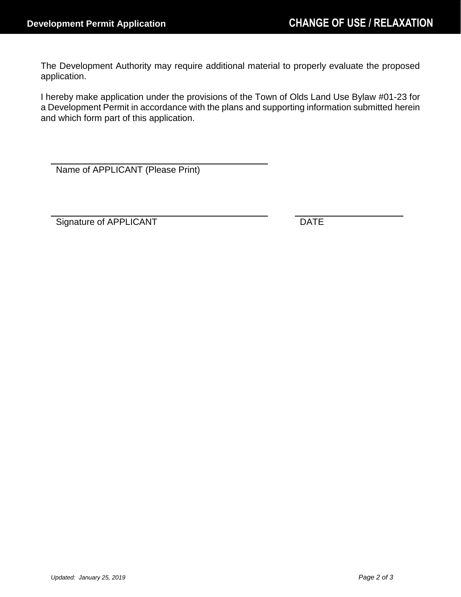The Development Authority may require additional material to properly evaluate the proposed application.

I hereby make application under the provisions of the Town of Olds Land Use Bylaw #01-23 for a Development Permit in accordance with the plans and supporting information submitted herein and which form part of this application.

Name of APPLICANT (Please Print)

Signature of APPLICANT DATE